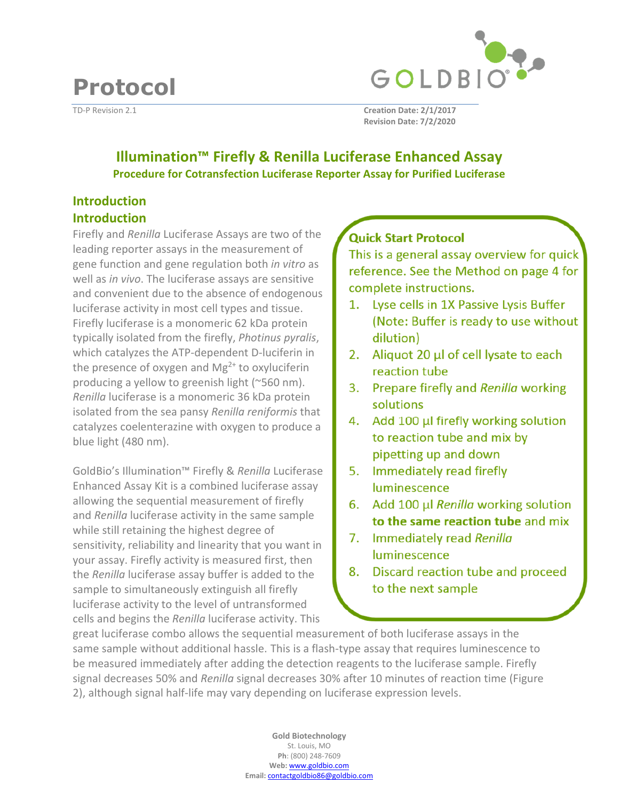

TD-P Revision 2.1 **Creation Date: 2/1/2017 Revision Date: 7/2/2020**

# **Illumination™ Firefly & Renilla Luciferase Enhanced Assay Procedure for Cotransfection Luciferase Reporter Assay for Purified Luciferase**

# **Introduction Introduction**

**Protocol** 

Firefly and *Renilla* Luciferase Assays are two of the leading reporter assays in the measurement of gene function and gene regulation both *in vitro* as well as *in vivo*. The luciferase assays are sensitive and convenient due to the absence of endogenous luciferase activity in most cell types and tissue. Firefly luciferase is a monomeric 62 kDa protein typically isolated from the firefly, *Photinus pyralis*, which catalyzes the ATP-dependent D-luciferin in the presence of oxygen and  $Mg^{2+}$  to oxyluciferin producing a yellow to greenish light (~560 nm). *Renilla* luciferase is a monomeric 36 kDa protein isolated from the sea pansy *Renilla reniformis* that catalyzes coelenterazine with oxygen to produce a blue light (480 nm).

GoldBio's Illumination™ Firefly & *Renilla* Luciferase Enhanced Assay Kit is a combined luciferase assay allowing the sequential measurement of firefly and *Renilla* luciferase activity in the same sample while still retaining the highest degree of sensitivity, reliability and linearity that you want in your assay. Firefly activity is measured first, then the *Renilla* luciferase assay buffer is added to the sample to simultaneously extinguish all firefly luciferase activity to the level of untransformed cells and begins the *Renilla* luciferase activity. This

# **Quick Start Protocol**

This is a general assay overview for quick reference. See the Method on page 4 for complete instructions.

- 1. Lyse cells in 1X Passive Lysis Buffer (Note: Buffer is ready to use without dilution)
- 2. Aliquot 20 µl of cell lysate to each reaction tube
- 3. Prepare firefly and Renilla working solutions
- 4. Add 100 µl firefly working solution to reaction tube and mix by pipetting up and down
- 5. Immediately read firefly luminescence
- 6. Add 100 µl Renilla working solution to the same reaction tube and mix
- 7. Immediately read Renilla luminescence
- 8. Discard reaction tube and proceed to the next sample

great luciferase combo allows the sequential measurement of both luciferase assays in the same sample without additional hassle. This is a flash-type assay that requires luminescence to be measured immediately after adding the detection reagents to the luciferase sample. Firefly signal decreases 50% and *Renilla* signal decreases 30% after 10 minutes of reaction time (Figure 2), although signal half-life may vary depending on luciferase expression levels.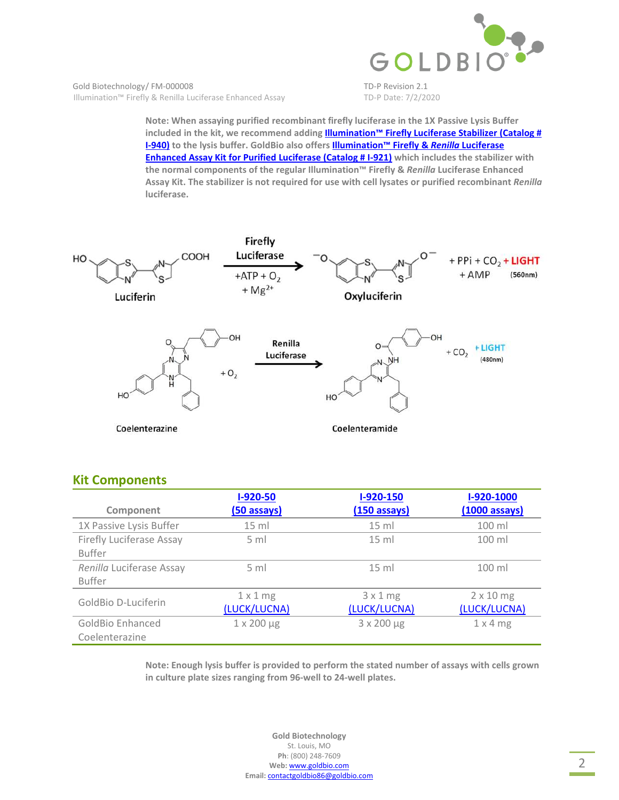

**Note: When assaying purified recombinant firefly luciferase in the 1X Passive Lysis Buffer [included in the kit, we rec](https://www.goldbio.com/product/12785/illumination-firefly-luciferase-stabilizer)ommend adding Illumination™ Firefly Luciferase Stabilizer (Catalog # I-940) to the lysis buffer. G[oldBio also offe](https://www.goldbio.com/product/12782/illumination-firefly-renilla-luciferase-enhanced-assay-kit-for-purified-luciferase)rs Illumination™ Firefly &** *Renilla* **Luciferase Enhanced Assay Kit for Purified Luciferase (Catalog # I-921) which includes the stabilizer with the normal components of the regular Illumination™ Firefly &** *Renilla* **Luciferase Enhanced Assay Kit. The stabilizer is not required for use with cell lysates or purified recombinant** *Renilla* **luciferase.** 



## **Kit Components**

|                                 | $I-920-50$           | $I-920-150$  | I-920-1000              |
|---------------------------------|----------------------|--------------|-------------------------|
| Component                       | (50 assays)          | (150 assays) | $(1000 \text{ assays})$ |
| 1X Passive Lysis Buffer         | $15 \text{ ml}$      | $15$ ml      | 100 ml                  |
| <b>Firefly Luciferase Assay</b> | 5 <sub>ml</sub>      | $15$ ml      | $100$ ml                |
| <b>Buffer</b>                   |                      |              |                         |
| Renilla Luciferase Assay        | $5 \text{ ml}$       | $15$ ml      | $100$ ml                |
| <b>Buffer</b>                   |                      |              |                         |
| GoldBio D-Luciferin             | $1 \times 1$ mg      | 3x1mg        | $2 \times 10$ mg        |
|                                 | (LUCK/LUCNA)         | (LUCK/LUCNA) | (LUCK/LUCNA)            |
| <b>GoldBio Enhanced</b>         | $1 \times 200 \mu g$ | 3 x 200 µg   | $1 \times 4$ mg         |
| Coelenterazine                  |                      |              |                         |

**Note: Enough lysis buffer is provided to perform the stated number of assays with cells grown in culture plate sizes ranging from 96-well to 24-well plates.**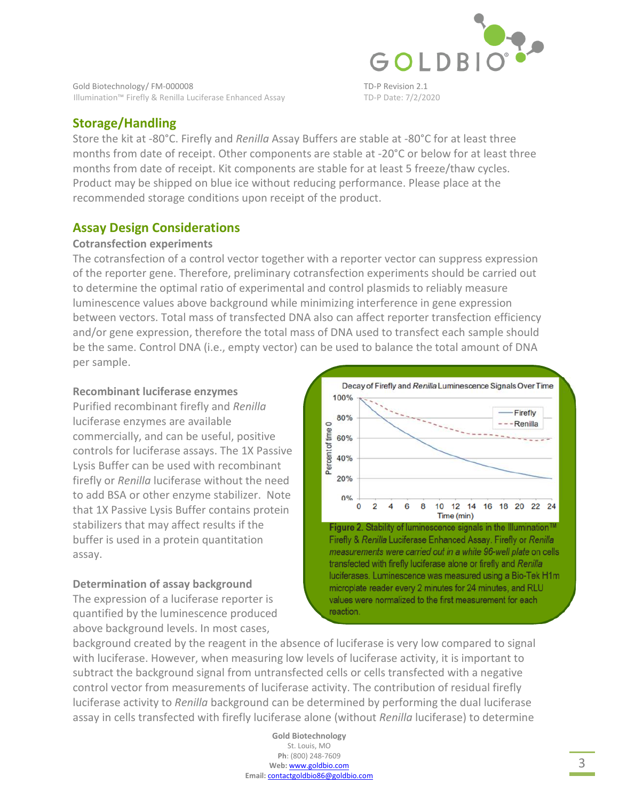

# **Storage/Handling**

Store the kit at -80°C. Firefly and *Renilla* Assay Buffers are stable at -80°C for at least three months from date of receipt. Other components are stable at -20°C or below for at least three months from date of receipt. Kit components are stable for at least 5 freeze/thaw cycles. Product may be shipped on blue ice without reducing performance. Please place at the recommended storage conditions upon receipt of the product.

## **Assay Design Considerations**

#### **Cotransfection experiments**

The cotransfection of a control vector together with a reporter vector can suppress expression of the reporter gene. Therefore, preliminary cotransfection experiments should be carried out to determine the optimal ratio of experimental and control plasmids to reliably measure luminescence values above background while minimizing interference in gene expression between vectors. Total mass of transfected DNA also can affect reporter transfection efficiency and/or gene expression, therefore the total mass of DNA used to transfect each sample should be the same. Control DNA (i.e., empty vector) can be used to balance the total amount of DNA per sample.

#### **Recombinant luciferase enzymes**

Purified recombinant firefly and *Renilla* luciferase enzymes are available commercially, and can be useful, positive controls for luciferase assays. The 1X Passive Lysis Buffer can be used with recombinant firefly or *Renilla* luciferase without the need to add BSA or other enzyme stabilizer. Note that 1X Passive Lysis Buffer contains protein stabilizers that may affect results if the buffer is used in a protein quantitation assay.

## **Determination of assay background**

The expression of a luciferase reporter is quantified by the luminescence produced above background levels. In most cases,



luciferases. Luminescence was measured using a Bio-Tek H1m microplate reader every 2 minutes for 24 minutes, and RLU values were normalized to the first measurement for each reaction.

background created by the reagent in the absence of luciferase is very low compared to signal with luciferase. However, when measuring low levels of luciferase activity, it is important to subtract the background signal from untransfected cells or cells transfected with a negative control vector from measurements of luciferase activity. The contribution of residual firefly luciferase activity to *Renilla* background can be determined by performing the dual luciferase assay in cells transfected with firefly luciferase alone (without *Renilla* luciferase) to determine

> **Gold Biotechnology**  St. Louis, MO **Ph**: (800) 248-7609 **Web:** www.goldbio.com **Email:** contactgoldbio86@goldbio.com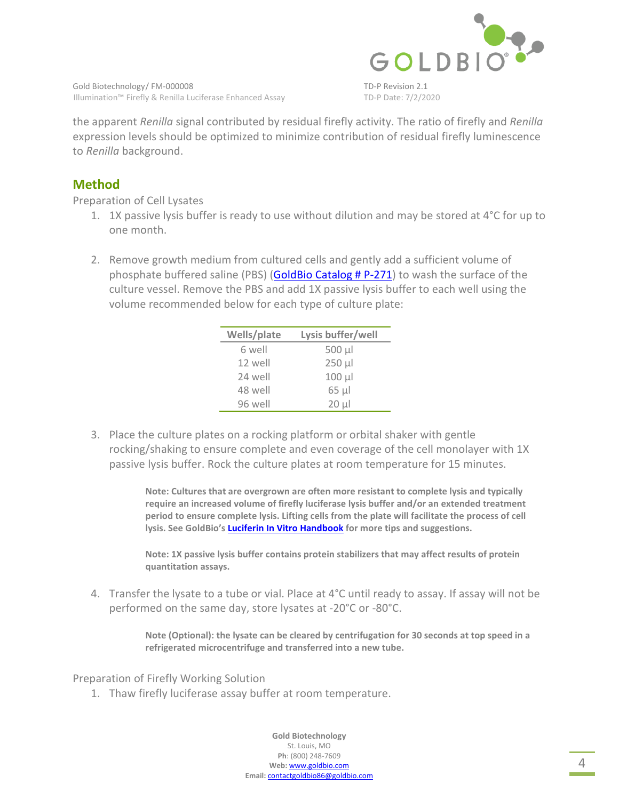

the apparent *Renilla* signal contributed by residual firefly activity. The ratio of firefly and *Renilla* expression levels should be optimized to minimize contribution of residual firefly luminescence to *Renilla* background.

## **Method**

Preparation of Cell Lysates

- 1. 1X passive lysis buffer is ready to use without dilution and may be stored at  $4^{\circ}$ C for up to one month.
- 2. Remove growth medium from cultured cells and gently add a sufficient volume of phosphate buffered salin[e \(PBS\) \(GoldBio Catalog # P-271](https://www.goldbio.com/product/3927/pbs-phosphate-buffered-saline-tablets)) to wash the surface of the culture vessel. Remove the PBS and add 1X passive lysis buffer to each well using the volume recommended below for each type of culture plate:

| Wells/plate | Lysis buffer/well |
|-------------|-------------------|
| 6 well      | 500 µl            |
| 12 well     | $250 \mu$         |
| 24 well     | $100 \mu$         |
| 48 well     | 65 µl             |
| 96 well     | $20 \mu$          |

3. Place the culture plates on a rocking platform or orbital shaker with gentle rocking/shaking to ensure complete and even coverage of the cell monolayer with 1X passive lysis buffer. Rock the culture plates at room temperature for 15 minutes.

> **Note: Cultures that are overgrown are often more resistant to complete lysis and typically require an increased volume of firefly luciferase lysis buffer and/or an extended treatment period to ensure complete lysis. Lifting cells from the plate will facilitate the process of cell ly[sis. See GoldBio's Luciferin In Vitro Handbook](https://www.goldbio.com/documents/1067/Luciferin In Vitro Book v1_160422.pdf) for more tips and suggestions.**

**Note: 1X passive lysis buffer contains protein stabilizers that may affect results of protein quantitation assays.** 

4. Transfer the lysate to a tube or vial. Place at 4°C until ready to assay. If assay will not be performed on the same day, store lysates at -20°C or -80°C.

> **Note (Optional): the lysate can be cleared by centrifugation for 30 seconds at top speed in a refrigerated microcentrifuge and transferred into a new tube.**

Preparation of Firefly Working Solution

1. Thaw firefly luciferase assay buffer at room temperature.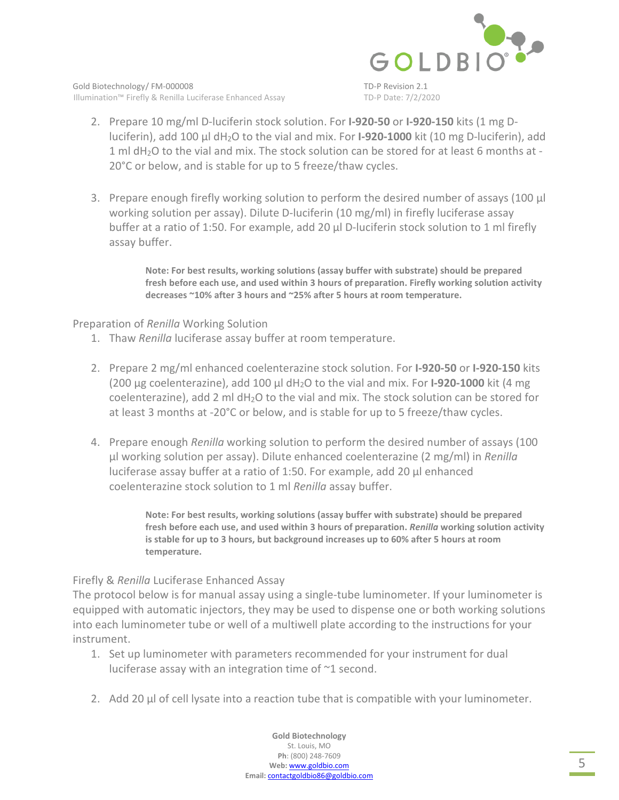

- 2. Prepare 10 mg/ml D-luciferin stock solution. For **I-920-50** or **I-920-150** kits (1 mg Dluciferin), add 100 µl dH2O to the vial and mix. For **I-920-1000** kit (10 mg D-luciferin), add 1 ml dH2O to the vial and mix. The stock solution can be stored for at least 6 months at - 20°C or below, and is stable for up to 5 freeze/thaw cycles.
- 3. Prepare enough firefly working solution to perform the desired number of assays (100 µl working solution per assay). Dilute D-luciferin (10 mg/ml) in firefly luciferase assay buffer at a ratio of 1:50. For example, add 20 µl D-luciferin stock solution to 1 ml firefly assay buffer.

**Note: For best results, working solutions (assay buffer with substrate) should be prepared fresh before each use, and used within 3 hours of preparation. Firefly working solution activity decreases ~10% after 3 hours and ~25% after 5 hours at room temperature.** 

#### Preparation of *Renilla* Working Solution

- 1. Thaw *Renilla* luciferase assay buffer at room temperature.
- 2. Prepare 2 mg/ml enhanced coelenterazine stock solution. For **I-920-50** or **I-920-150** kits (200 µg coelenterazine), add 100 µl dH2O to the vial and mix. For **I-920-1000** kit (4 mg coelenterazine), add 2 ml dH2O to the vial and mix. The stock solution can be stored for at least 3 months at -20°C or below, and is stable for up to 5 freeze/thaw cycles.
- 4. Prepare enough *Renilla* working solution to perform the desired number of assays (100 µl working solution per assay). Dilute enhanced coelenterazine (2 mg/ml) in *Renilla* luciferase assay buffer at a ratio of 1:50. For example, add 20 µl enhanced coelenterazine stock solution to 1 ml *Renilla* assay buffer.

**Note: For best results, working solutions (assay buffer with substrate) should be prepared fresh before each use, and used within 3 hours of preparation.** *Renilla* **working solution activity is stable for up to 3 hours, but background increases up to 60% after 5 hours at room temperature.** 

## Firefly & *Renilla* Luciferase Enhanced Assay

The protocol below is for manual assay using a single-tube luminometer. If your luminometer is equipped with automatic injectors, they may be used to dispense one or both working solutions into each luminometer tube or well of a multiwell plate according to the instructions for your instrument.

- 1. Set up luminometer with parameters recommended for your instrument for dual luciferase assay with an integration time of ~1 second.
- 2. Add 20 µl of cell lysate into a reaction tube that is compatible with your luminometer.